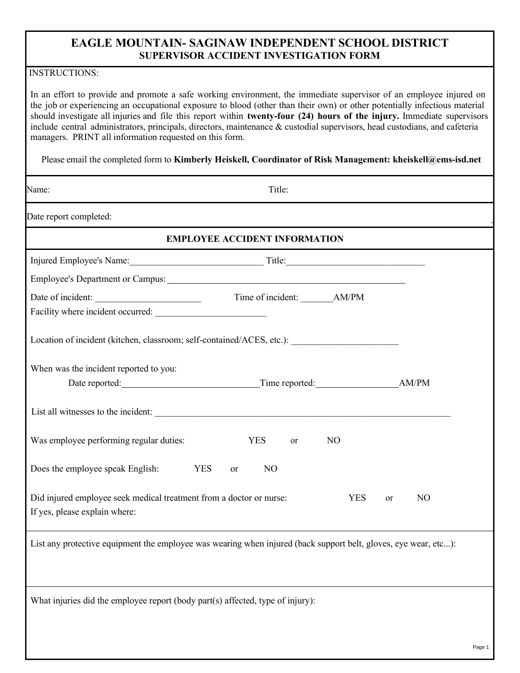## **EAGLE MOUNTAIN- SAGINAW INDEPENDENT SCHOOL DISTRICT SUPERVISOR ACCIDENT INVESTIGATION FORM**

## INSTRUCTIONS:

In an effort to provide and promote a safe working environment, the immediate supervisor of an employee injured on the job or experiencing an occupational exposure to blood (other than their own) or other potentially infectious material should investigate all injuries and file this report within **twenty-four (24) hours of the injury.** Immediate supervisors include central administrators, principals, directors, maintenance & custodial supervisors, head custodians, and cafeteria managers. PRINT all information requested on this form.

Please email the completed form to **Kimberly Heiskell, Coordinator of Risk Management: kheiskell@ems-isd.net** 

| Name:                                                                                                           | Title:                               |                |                      |        |
|-----------------------------------------------------------------------------------------------------------------|--------------------------------------|----------------|----------------------|--------|
| Date report completed:                                                                                          |                                      |                |                      |        |
|                                                                                                                 | <b>EMPLOYEE ACCIDENT INFORMATION</b> |                |                      |        |
|                                                                                                                 |                                      |                |                      |        |
|                                                                                                                 |                                      |                |                      |        |
| Date of incident:                                                                                               |                                      |                |                      |        |
| Location of incident (kitchen, classroom; self-contained/ACES, etc.): ______________________________            |                                      |                |                      |        |
| When was the incident reported to you:                                                                          |                                      |                |                      |        |
| List all witnesses to the incident:                                                                             |                                      |                |                      |        |
| Was employee performing regular duties:                                                                         | <b>YES</b><br>or                     | N <sub>O</sub> |                      |        |
| Does the employee speak English:<br><b>YES</b>                                                                  | N <sub>O</sub><br><b>or</b>          |                |                      |        |
| Did injured employee seek medical treatment from a doctor or nurse:<br>If yes, please explain where:            |                                      | <b>YES</b>     | N <sub>O</sub><br>or |        |
| List any protective equipment the employee was wearing when injured (back support belt, gloves, eye wear, etc): |                                      |                |                      |        |
| What injuries did the employee report (body part(s) affected, type of injury):                                  |                                      |                |                      |        |
|                                                                                                                 |                                      |                |                      | Page 1 |